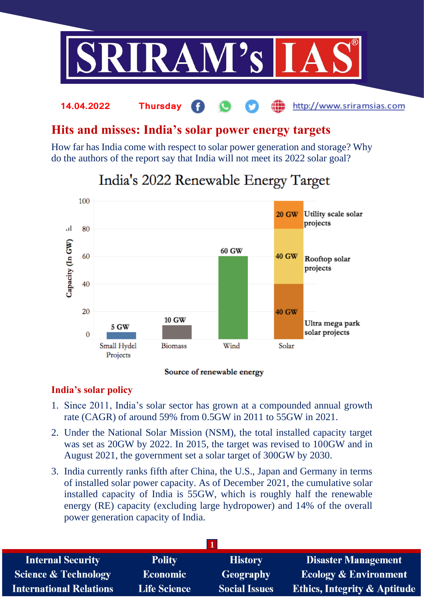

## **Hits and misses: India's solar power energy targets**

**14.04.2022 Thursday**

How far has India come with respect to solar power generation and storage? Why do the authors of the report say that India will not meet its 2022 solar goal?



# India's 2022 Renewable Energy Target

### Source of renewable energy

### **India's solar policy**

- 1. Since 2011, India's solar sector has grown at a compounded annual growth rate (CAGR) of around 59% from 0.5GW in 2011 to 55GW in 2021.
- 2. Under the National Solar Mission (NSM), the total installed capacity target was set as 20GW by 2022. In 2015, the target was revised to 100GW and in August 2021, the government set a solar target of 300GW by 2030.
- 3. India currently ranks fifth after China, the U.S., Japan and Germany in terms of installed solar power capacity. As of December 2021, the cumulative solar installed capacity of India is 55GW, which is roughly half the renewable energy (RE) capacity (excluding large hydropower) and 14% of the overall power generation capacity of India.

| <b>Internal Security</b>        | <b>Polity</b>       | <b>History</b>       | <b>Disaster Management</b>              |
|---------------------------------|---------------------|----------------------|-----------------------------------------|
| <b>Science &amp; Technology</b> | <b>Economic</b>     | Geography            | <b>Ecology &amp; Environment</b>        |
| <b>International Relations</b>  | <b>Life Science</b> | <b>Social Issues</b> | <b>Ethics, Integrity &amp; Aptitude</b> |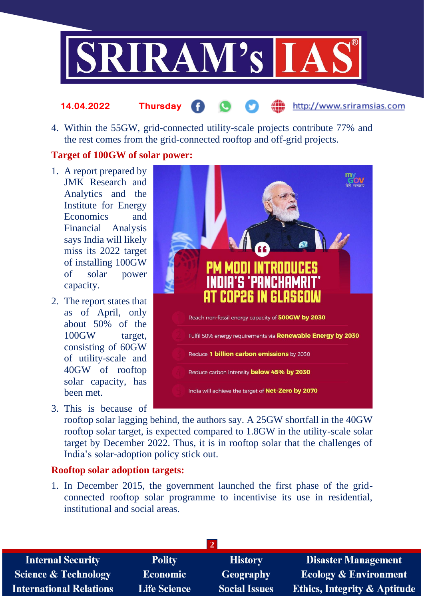

#### http://www.sriramsias.com **14.04.2022 Thursday**

4. Within the 55GW, grid-connected utility-scale projects contribute 77% and the rest comes from the grid-connected rooftop and off-grid projects.

### **Target of 100GW of solar power:**

- 1. A report prepared by JMK Research and Analytics and the Institute for Energy Economics and Financial Analysis says India will likely miss its 2022 target of installing 100GW of solar power capacity.
- 2. The report states that as of April, only about 50% of the 100GW target, consisting of 60GW of utility-scale and 40GW of rooftop solar capacity, has been met.
- 3. This is because of



rooftop solar lagging behind, the authors say. A 25GW shortfall in the 40GW rooftop solar target, is expected compared to 1.8GW in the utility-scale solar target by December 2022. Thus, it is in rooftop solar that the challenges of India's solar-adoption policy stick out.

### **Rooftop solar adoption targets:**

1. In December 2015, the government launched the first phase of the gridconnected rooftop solar programme to incentivise its use in residential, institutional and social areas.

| <b>Internal Security</b>        | <b>Polity</b>       | <b>History</b>       | <b>Disaster Management</b>              |
|---------------------------------|---------------------|----------------------|-----------------------------------------|
| <b>Science &amp; Technology</b> | <b>Economic</b>     | <b>Geography</b>     | <b>Ecology &amp; Environment</b>        |
| <b>International Relations</b>  | <b>Life Science</b> | <b>Social Issues</b> | <b>Ethics, Integrity &amp; Aptitude</b> |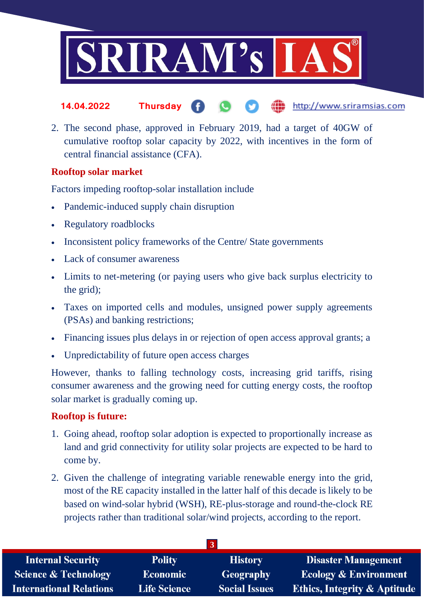

- http://www.sriramsias.com **14.04.2022 Thursday**
- 2. The second phase, approved in February 2019, had a target of 40GW of cumulative rooftop solar capacity by 2022, with incentives in the form of central financial assistance (CFA).

## **Rooftop solar market**

Factors impeding rooftop-solar installation include

- Pandemic-induced supply chain disruption
- Regulatory roadblocks
- Inconsistent policy frameworks of the Centre/ State governments
- Lack of consumer awareness
- Limits to net-metering (or paying users who give back surplus electricity to the grid);
- Taxes on imported cells and modules, unsigned power supply agreements (PSAs) and banking restrictions;
- Financing issues plus delays in or rejection of open access approval grants; a
- Unpredictability of future open access charges

However, thanks to falling technology costs, increasing grid tariffs, rising consumer awareness and the growing need for cutting energy costs, the rooftop solar market is gradually coming up.

### **Rooftop is future:**

- 1. Going ahead, rooftop solar adoption is expected to proportionally increase as land and grid connectivity for utility solar projects are expected to be hard to come by.
- 2. Given the challenge of integrating variable renewable energy into the grid, most of the RE capacity installed in the latter half of this decade is likely to be based on wind-solar hybrid (WSH), RE-plus-storage and round-the-clock RE projects rather than traditional solar/wind projects, according to the report.

| <b>Internal Security</b>        | <b>Polity</b>       | <b>History</b>       | <b>Disaster Management</b>              |  |
|---------------------------------|---------------------|----------------------|-----------------------------------------|--|
| <b>Science &amp; Technology</b> | <b>Economic</b>     | <b>Geography</b>     | <b>Ecology &amp; Environment</b>        |  |
| <b>International Relations</b>  | <b>Life Science</b> | <b>Social Issues</b> | <b>Ethics, Integrity &amp; Aptitude</b> |  |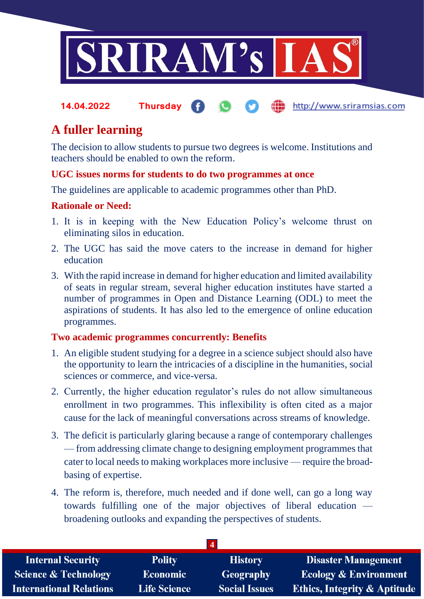

#### http://www.sriramsias.com **14.04.2022 Thursday**

## **A fuller learning**

The decision to allow students to pursue two degrees is welcome. Institutions and teachers should be enabled to own the reform.

## **UGC issues norms for students to do two programmes at once**

The guidelines are applicable to academic programmes other than PhD.

### **Rationale or Need:**

- 1. It is in keeping with the New Education Policy's welcome thrust on eliminating silos in education.
- 2. The UGC has said the move caters to the increase in demand for higher education
- 3. With the rapid increase in demand for higher education and limited availability of seats in regular stream, several higher education institutes have started a number of programmes in Open and Distance Learning (ODL) to meet the aspirations of students. It has also led to the emergence of online education programmes.

### **Two academic programmes concurrently: Benefits**

- 1. An eligible student studying for a degree in a science subject should also have the opportunity to learn the intricacies of a discipline in the humanities, social sciences or commerce, and vice-versa.
- 2. Currently, the higher education regulator's rules do not allow simultaneous enrollment in two programmes. This inflexibility is often cited as a major cause for the lack of meaningful conversations across streams of knowledge.
- 3. The deficit is particularly glaring because a range of contemporary challenges — from addressing climate change to designing employment programmes that cater to local needs to making workplaces more inclusive — require the broadbasing of expertise.
- 4. The reform is, therefore, much needed and if done well, can go a long way towards fulfilling one of the major objectives of liberal education broadening outlooks and expanding the perspectives of students.

| <b>Internal Security</b>        | <b>Polity</b>       | <b>History</b>       | <b>Disaster Management</b>              |
|---------------------------------|---------------------|----------------------|-----------------------------------------|
| <b>Science &amp; Technology</b> | <b>Economic</b>     | Geography            | <b>Ecology &amp; Environment</b>        |
| <b>International Relations</b>  | <b>Life Science</b> | <b>Social Issues</b> | <b>Ethics, Integrity &amp; Aptitude</b> |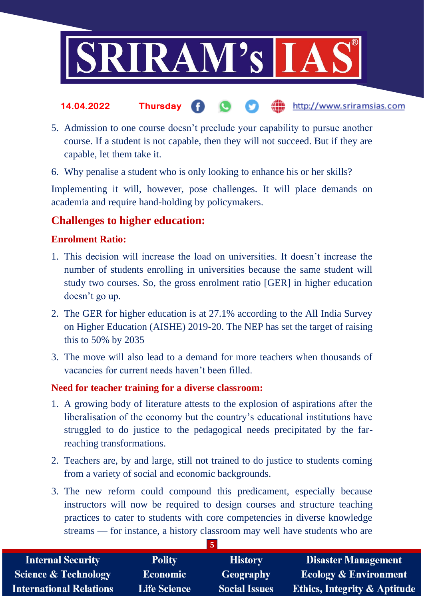

#### the http://www.sriramsias.com **14.04.2022 Thursday**

- 5. Admission to one course doesn't preclude your capability to pursue another course. If a student is not capable, then they will not succeed. But if they are capable, let them take it.
- 6. Why penalise a student who is only looking to enhance his or her skills?

Implementing it will, however, pose challenges. It will place demands on academia and require hand-holding by policymakers.

## **Challenges to higher education:**

## **Enrolment Ratio:**

- 1. This decision will increase the load on universities. It doesn't increase the number of students enrolling in universities because the same student will study two courses. So, the gross enrolment ratio [GER] in higher education doesn't go up.
- 2. The GER for higher education is at 27.1% according to the All India Survey on Higher Education (AISHE) 2019-20. The NEP has set the target of raising this to 50% by 2035
- 3. The move will also lead to a demand for more teachers when thousands of vacancies for current needs haven't been filled.

### **Need for teacher training for a diverse classroom:**

- 1. A growing body of literature attests to the explosion of aspirations after the liberalisation of the economy but the country's educational institutions have struggled to do justice to the pedagogical needs precipitated by the farreaching transformations.
- 2. Teachers are, by and large, still not trained to do justice to students coming from a variety of social and economic backgrounds.
- 3. The new reform could compound this predicament, especially because instructors will now be required to design courses and structure teaching practices to cater to students with core competencies in diverse knowledge streams — for instance, a history classroom may well have students who are

**5**

| <b>Internal Security</b>        | <b>Polity</b>       | <b>History</b>       | <b>Disaster Management</b>              |
|---------------------------------|---------------------|----------------------|-----------------------------------------|
| <b>Science &amp; Technology</b> | <b>Economic</b>     | Geography            | <b>Ecology &amp; Environment</b>        |
| <b>International Relations</b>  | <b>Life Science</b> | <b>Social Issues</b> | <b>Ethics, Integrity &amp; Aptitude</b> |